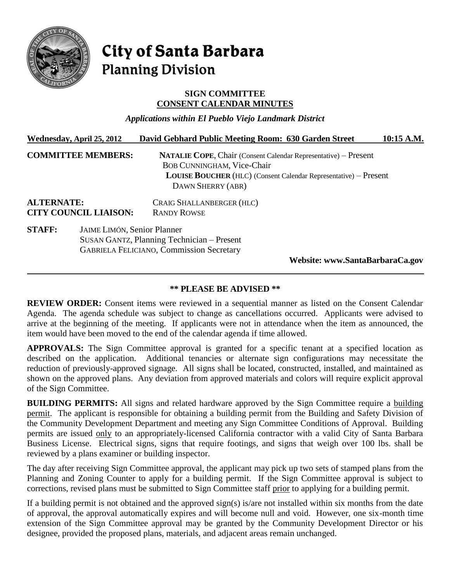

# City of Santa Barbara **Planning Division**

## **SIGN COMMITTEE CONSENT CALENDAR MINUTES**

*Applications within El Pueblo Viejo Landmark District*

|                                                   | Wednesday, April 25, 2012          | David Gebhard Public Meeting Room: 630 Garden Street                                                                                                                                                        | 10:15 A.M. |
|---------------------------------------------------|------------------------------------|-------------------------------------------------------------------------------------------------------------------------------------------------------------------------------------------------------------|------------|
| <b>COMMITTEE MEMBERS:</b>                         |                                    | <b>NATALIE COPE, Chair (Consent Calendar Representative) – Present</b><br><b>BOB CUNNINGHAM, Vice-Chair</b><br><b>LOUISE BOUCHER</b> (HLC) (Consent Calendar Representative) – Present<br>DAWN SHERRY (ABR) |            |
| <b>ALTERNATE:</b><br><b>CITY COUNCIL LIAISON:</b> |                                    | CRAIG SHALLANBERGER (HLC)<br><b>RANDY ROWSE</b>                                                                                                                                                             |            |
| <b>STAFF:</b>                                     | <b>JAIME LIMÓN, Senior Planner</b> | SUSAN GANTZ, Planning Technician - Present<br><b>GABRIELA FELICIANO, Commission Secretary</b><br>Website: www.SantaBarbaraCa.gov                                                                            |            |

## **\*\* PLEASE BE ADVISED \*\***

**REVIEW ORDER:** Consent items were reviewed in a sequential manner as listed on the Consent Calendar Agenda. The agenda schedule was subject to change as cancellations occurred. Applicants were advised to arrive at the beginning of the meeting. If applicants were not in attendance when the item as announced, the item would have been moved to the end of the calendar agenda if time allowed.

**APPROVALS:** The Sign Committee approval is granted for a specific tenant at a specified location as described on the application. Additional tenancies or alternate sign configurations may necessitate the reduction of previously-approved signage. All signs shall be located, constructed, installed, and maintained as shown on the approved plans. Any deviation from approved materials and colors will require explicit approval of the Sign Committee.

**BUILDING PERMITS:** All signs and related hardware approved by the Sign Committee require a building permit. The applicant is responsible for obtaining a building permit from the Building and Safety Division of the Community Development Department and meeting any Sign Committee Conditions of Approval. Building permits are issued only to an appropriately-licensed California contractor with a valid City of Santa Barbara Business License. Electrical signs, signs that require footings, and signs that weigh over 100 lbs. shall be reviewed by a plans examiner or building inspector.

The day after receiving Sign Committee approval, the applicant may pick up two sets of stamped plans from the Planning and Zoning Counter to apply for a building permit. If the Sign Committee approval is subject to corrections, revised plans must be submitted to Sign Committee staff prior to applying for a building permit.

If a building permit is not obtained and the approved sign(s) is/are not installed within six months from the date of approval, the approval automatically expires and will become null and void. However, one six-month time extension of the Sign Committee approval may be granted by the Community Development Director or his designee, provided the proposed plans, materials, and adjacent areas remain unchanged.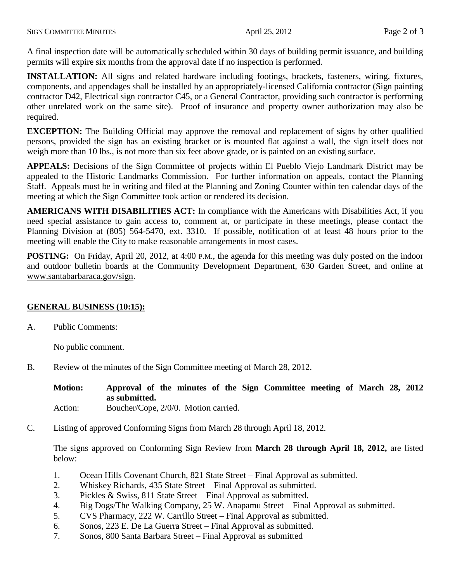A final inspection date will be automatically scheduled within 30 days of building permit issuance, and building permits will expire six months from the approval date if no inspection is performed.

**INSTALLATION:** All signs and related hardware including footings, brackets, fasteners, wiring, fixtures, components, and appendages shall be installed by an appropriately-licensed California contractor (Sign painting contractor D42, Electrical sign contractor C45, or a General Contractor, providing such contractor is performing other unrelated work on the same site). Proof of insurance and property owner authorization may also be required.

**EXCEPTION:** The Building Official may approve the removal and replacement of signs by other qualified persons, provided the sign has an existing bracket or is mounted flat against a wall, the sign itself does not weigh more than 10 lbs., is not more than six feet above grade, or is painted on an existing surface.

**APPEALS:** Decisions of the Sign Committee of projects within El Pueblo Viejo Landmark District may be appealed to the Historic Landmarks Commission. For further information on appeals, contact the Planning Staff. Appeals must be in writing and filed at the Planning and Zoning Counter within ten calendar days of the meeting at which the Sign Committee took action or rendered its decision.

**AMERICANS WITH DISABILITIES ACT:** In compliance with the Americans with Disabilities Act, if you need special assistance to gain access to, comment at, or participate in these meetings, please contact the Planning Division at (805) 564-5470, ext. 3310. If possible, notification of at least 48 hours prior to the meeting will enable the City to make reasonable arrangements in most cases.

**POSTING:** On Friday, April 20, 2012, at 4:00 P.M., the agenda for this meeting was duly posted on the indoor and outdoor bulletin boards at the Community Development Department, 630 Garden Street, and online at *<sup>H</sup>*[www.santabarbaraca.gov/sign.](file://chgarden/ComDev/Group%20Folders/PLAN/Sign%20Committee/SC%20Minutes/2012%20SGN%20Final%20Minutes/Hwww.santabarbaraca.gov/sign)

## **GENERAL BUSINESS (10:15):**

A. Public Comments:

No public comment.

B. Review of the minutes of the Sign Committee meeting of March 28, 2012.

**Motion: Approval of the minutes of the Sign Committee meeting of March 28, 2012 as submitted.** Action: Boucher/Cope, 2/0/0. Motion carried.

C. Listing of approved Conforming Signs from March 28 through April 18, 2012.

The signs approved on Conforming Sign Review from **March 28 through April 18, 2012,** are listed below:

- 1. Ocean Hills Covenant Church, 821 State Street Final Approval as submitted.
- 2. Whiskey Richards, 435 State Street Final Approval as submitted.
- 3. Pickles & Swiss, 811 State Street Final Approval as submitted.
- 4. Big Dogs/The Walking Company, 25 W. Anapamu Street Final Approval as submitted.
- 5. CVS Pharmacy, 222 W. Carrillo Street Final Approval as submitted.
- 6. Sonos, 223 E. De La Guerra Street Final Approval as submitted.
- 7. Sonos, 800 Santa Barbara Street Final Approval as submitted